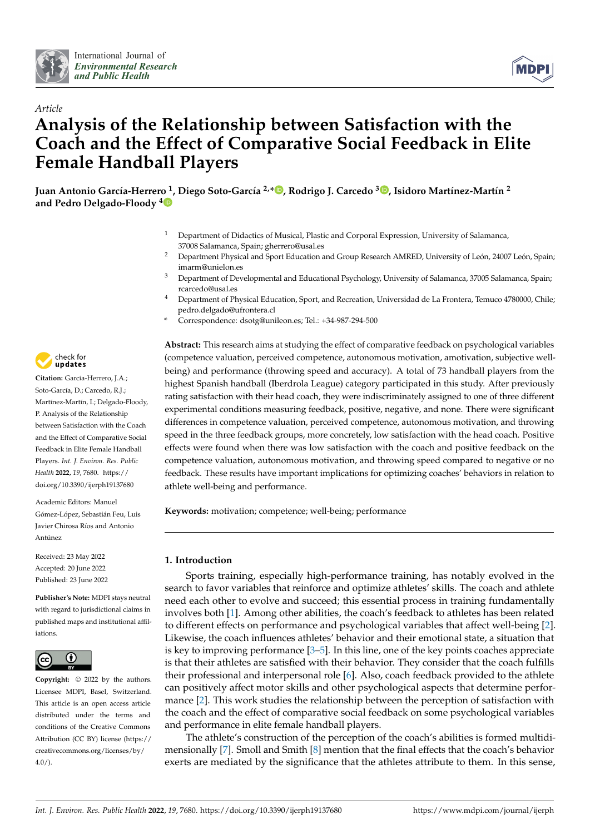



# *Article* **Analysis of the Relationship between Satisfaction with the Coach and the Effect of Comparative Social Feedback in Elite Female Handball Players**

**Juan Antonio García-Herrero <sup>1</sup> , Diego Soto-García 2,[\\*](https://orcid.org/0000-0001-9943-5378) , Rodrigo J. Carcedo [3](https://orcid.org/0000-0002-8547-9043) , Isidoro Martínez-Martín 2 and Pedro Delgado-Floody [4](https://orcid.org/0000-0001-9952-993X)**

- <sup>1</sup> Department of Didactics of Musical, Plastic and Corporal Expression, University of Salamanca, 37008 Salamanca, Spain; gherrero@usal.es
- <sup>2</sup> Department Physical and Sport Education and Group Research AMRED, University of León, 24007 León, Spain; imarm@unielon.es
- <sup>3</sup> Department of Developmental and Educational Psychology, University of Salamanca, 37005 Salamanca, Spain; rcarcedo@usal.es
- <sup>4</sup> Department of Physical Education, Sport, and Recreation, Universidad de La Frontera, Temuco 4780000, Chile; pedro.delgado@ufrontera.cl
- **\*** Correspondence: dsotg@unileon.es; Tel.: +34-987-294-500

**Abstract:** This research aims at studying the effect of comparative feedback on psychological variables (competence valuation, perceived competence, autonomous motivation, amotivation, subjective wellbeing) and performance (throwing speed and accuracy). A total of 73 handball players from the highest Spanish handball (Iberdrola League) category participated in this study. After previously rating satisfaction with their head coach, they were indiscriminately assigned to one of three different experimental conditions measuring feedback, positive, negative, and none. There were significant differences in competence valuation, perceived competence, autonomous motivation, and throwing speed in the three feedback groups, more concretely, low satisfaction with the head coach. Positive effects were found when there was low satisfaction with the coach and positive feedback on the competence valuation, autonomous motivation, and throwing speed compared to negative or no feedback. These results have important implications for optimizing coaches' behaviors in relation to athlete well-being and performance.

**Keywords:** motivation; competence; well-being; performance

## **1. Introduction**

Sports training, especially high-performance training, has notably evolved in the search to favor variables that reinforce and optimize athletes' skills. The coach and athlete need each other to evolve and succeed; this essential process in training fundamentally involves both [\[1\]](#page-9-0). Among other abilities, the coach's feedback to athletes has been related to different effects on performance and psychological variables that affect well-being [\[2\]](#page-9-1). Likewise, the coach influences athletes' behavior and their emotional state, a situation that is key to improving performance [\[3–](#page-9-2)[5\]](#page-9-3). In this line, one of the key points coaches appreciate is that their athletes are satisfied with their behavior. They consider that the coach fulfills their professional and interpersonal role [\[6\]](#page-9-4). Also, coach feedback provided to the athlete can positively affect motor skills and other psychological aspects that determine performance [\[2\]](#page-9-1). This work studies the relationship between the perception of satisfaction with the coach and the effect of comparative social feedback on some psychological variables and performance in elite female handball players.

The athlete's construction of the perception of the coach's abilities is formed multidimensionally [\[7\]](#page-9-5). Smoll and Smith [\[8\]](#page-9-6) mention that the final effects that the coach's behavior exerts are mediated by the significance that the athletes attribute to them. In this sense,



**Citation:** García-Herrero, J.A.; Soto-García, D.; Carcedo, R.J.; Martínez-Martín, I.; Delgado-Floody, P. Analysis of the Relationship between Satisfaction with the Coach and the Effect of Comparative Social Feedback in Elite Female Handball Players. *Int. J. Environ. Res. Public Health* **2022**, *19*, 7680. [https://](https://doi.org/10.3390/ijerph19137680) [doi.org/10.3390/ijerph19137680](https://doi.org/10.3390/ijerph19137680)

Academic Editors: Manuel Gómez-López, Sebastián Feu, Luis Javier Chirosa Ríos and Antonio Antúnez

Received: 23 May 2022 Accepted: 20 June 2022 Published: 23 June 2022

**Publisher's Note:** MDPI stays neutral with regard to jurisdictional claims in published maps and institutional affiliations.



**Copyright:** © 2022 by the authors. Licensee MDPI, Basel, Switzerland. This article is an open access article distributed under the terms and conditions of the Creative Commons Attribution (CC BY) license [\(https://](https://creativecommons.org/licenses/by/4.0/) [creativecommons.org/licenses/by/](https://creativecommons.org/licenses/by/4.0/)  $4.0/$ ).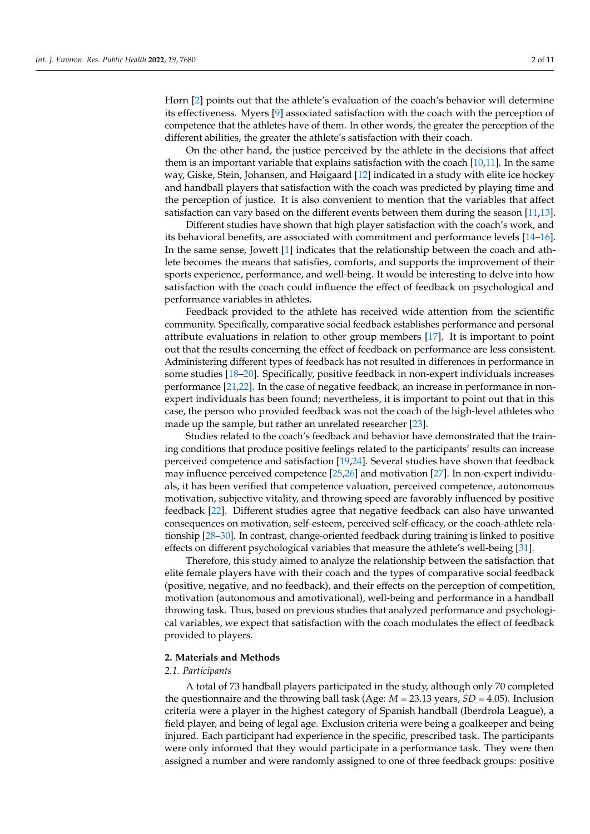Horn [\[2\]](#page-9-1) points out that the athlete's evaluation of the coach's behavior will determine its effectiveness. Myers [\[9\]](#page-9-7) associated satisfaction with the coach with the perception of competence that the athletes have of them. In other words, the greater the perception of the different abilities, the greater the athlete's satisfaction with their coach.

On the other hand, the justice perceived by the athlete in the decisions that affect them is an important variable that explains satisfaction with the coach [\[10,](#page-9-8)[11\]](#page-9-9). In the same way, Giske, Stein, Johansen, and Høigaard [\[12\]](#page-9-10) indicated in a study with elite ice hockey and handball players that satisfaction with the coach was predicted by playing time and the perception of justice. It is also convenient to mention that the variables that affect satisfaction can vary based on the different events between them during the season [\[11](#page-9-9)[,13\]](#page-9-11).

Different studies have shown that high player satisfaction with the coach's work, and its behavioral benefits, are associated with commitment and performance levels [\[14](#page-9-12)[–16\]](#page-9-13). In the same sense, Jowett [\[1\]](#page-9-0) indicates that the relationship between the coach and athlete becomes the means that satisfies, comforts, and supports the improvement of their sports experience, performance, and well-being. It would be interesting to delve into how satisfaction with the coach could influence the effect of feedback on psychological and performance variables in athletes.

Feedback provided to the athlete has received wide attention from the scientific community. Specifically, comparative social feedback establishes performance and personal attribute evaluations in relation to other group members [\[17\]](#page-9-14). It is important to point out that the results concerning the effect of feedback on performance are less consistent. Administering different types of feedback has not resulted in differences in performance in some studies [\[18–](#page-9-15)[20\]](#page-9-16). Specifically, positive feedback in non-expert individuals increases performance [\[21](#page-9-17)[,22\]](#page-9-18). In the case of negative feedback, an increase in performance in nonexpert individuals has been found; nevertheless, it is important to point out that in this case, the person who provided feedback was not the coach of the high-level athletes who made up the sample, but rather an unrelated researcher [\[23\]](#page-9-19).

Studies related to the coach's feedback and behavior have demonstrated that the training conditions that produce positive feelings related to the participants' results can increase perceived competence and satisfaction [\[19](#page-9-20)[,24\]](#page-9-21). Several studies have shown that feedback may influence perceived competence [\[25,](#page-9-22)[26\]](#page-9-23) and motivation [\[27\]](#page-9-24). In non-expert individuals, it has been verified that competence valuation, perceived competence, autonomous motivation, subjective vitality, and throwing speed are favorably influenced by positive feedback [\[22\]](#page-9-18). Different studies agree that negative feedback can also have unwanted consequences on motivation, self-esteem, perceived self-efficacy, or the coach-athlete relationship [\[28](#page-9-25)[–30\]](#page-10-0). In contrast, change-oriented feedback during training is linked to positive effects on different psychological variables that measure the athlete's well-being [\[31\]](#page-10-1).

Therefore, this study aimed to analyze the relationship between the satisfaction that elite female players have with their coach and the types of comparative social feedback (positive, negative, and no feedback), and their effects on the perception of competition, motivation (autonomous and amotivational), well-being and performance in a handball throwing task. Thus, based on previous studies that analyzed performance and psychological variables, we expect that satisfaction with the coach modulates the effect of feedback provided to players.

#### **2. Materials and Methods**

#### *2.1. Participants*

A total of 73 handball players participated in the study, although only 70 completed the questionnaire and the throwing ball task (Age: *M* = 23.13 years, *SD* = 4.05). Inclusion criteria were a player in the highest category of Spanish handball (Iberdrola League), a field player, and being of legal age. Exclusion criteria were being a goalkeeper and being injured. Each participant had experience in the specific, prescribed task. The participants were only informed that they would participate in a performance task. They were then assigned a number and were randomly assigned to one of three feedback groups: positive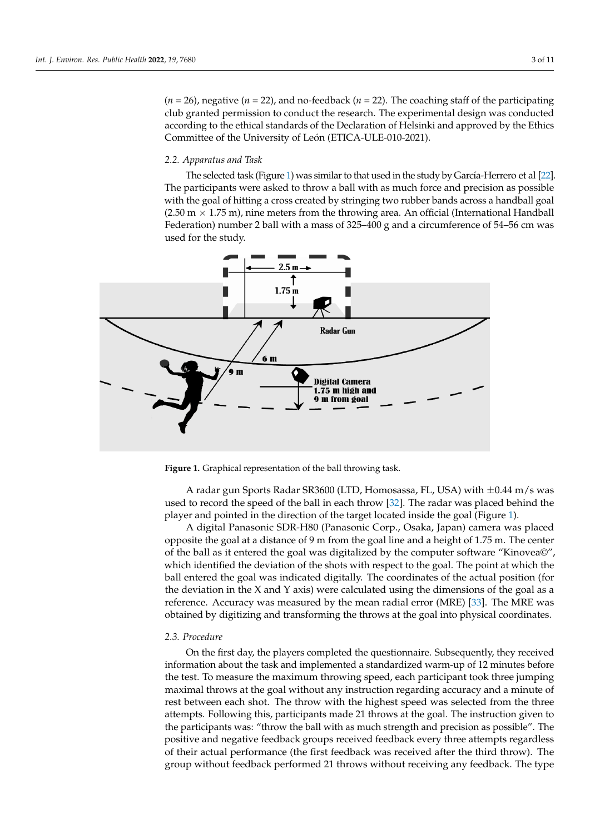$(n = 26)$ , negative  $(n = 22)$ , and no-feedback  $(n = 22)$ . The coaching staff of the participating club granted permission to conduct the research. The experimental design was conducted according to the ethical standards of the Declaration of Helsinki and approved by the Ethics Committee of the University of León (ETICA-ULE-010-2021).

## 2.2. Apparatus and Task

The selected task (Figure 1) was similar to that used in the study by García-Herrero et al [\[22\]](#page-9-18). The participants were asked to throw a ball with as much force and precision as possible with the goal of hitting a cross created by stringing two rubber bands across a handball goal (2.50 m  $\times$  1.75 m), nine meters from the throwing area. An official (International Handball Federation) number 2 ball with a mass of 325–400 g and a circumference of 54–56 cm was used for the study.  $\Box$ 

<span id="page-2-0"></span>

handball goal (2.50 m × 1.75 m), nine meters from the throwing area. An official (Interna-

**Figure 1.** Graphical representation of the ball throwing task. **Figure 1.** Graphical representation of the ball throwing task.

used to record the speed of the ball in each throw [\[32\]](#page-10-2). The radar was placed behind the player and pointed in the direction of the target located inside the goal (Figure [1\)](#page-2-0). A radar gun Sports Radar SR3600 (LTD, Homosassa, FL, USA) with ±0.44 m/s was

A digital Panasonic SDR-H80 (Panasonic Corp., Osaka, Japan) camera was placed opposite the goal at a distance of 9 m from the goal line and a height of 1.75 m. The center of the ball as it entered the goal was digitalized by the computer software "Kinovea©", which identified the deviation of the shots with respect to the goal. The point at which the ball entered the goal was indicated digitally. The coordinates of the actual position (for the deviation in the X and Y axis) were calculated using the dimensions of the goal as a reference. Accuracy was measured by the mean radial error (MRE) [\[33\]](#page-10-3). The MRE was obtained by digitizing and transforming the throws at the goal into physical coordinates.

### *2.3. Procedure*

On the first day, the players completed the questionnaire. Subsequently, they received information about the task and implemented a standardized warm-up of 12 minutes before the test. To measure the maximum throwing speed, each participant took three jumping maximal throws at the goal without any instruction regarding accuracy and a minute of rest between each shot. The throw with the highest speed was selected from the three attempts. Following this, participants made 21 throws at the goal. The instruction given to the participants was: "throw the ball with as much strength and precision as possible". The positive and negative feedback groups received feedback every three attempts regardless of their actual performance (the first feedback was received after the third throw). The group without feedback performed 21 throws without receiving any feedback. The type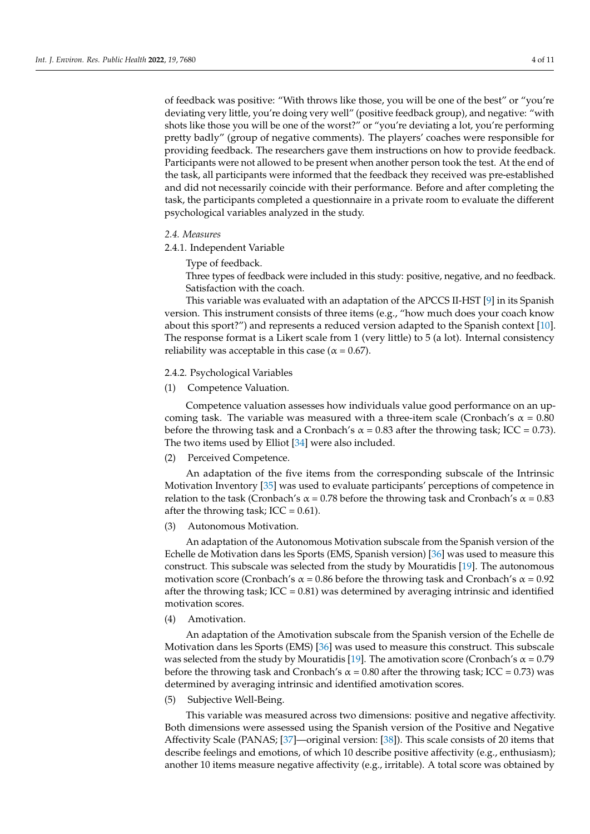of feedback was positive: "With throws like those, you will be one of the best" or "you're deviating very little, you're doing very well" (positive feedback group), and negative: "with shots like those you will be one of the worst?" or "you're deviating a lot, you're performing pretty badly" (group of negative comments). The players' coaches were responsible for providing feedback. The researchers gave them instructions on how to provide feedback. Participants were not allowed to be present when another person took the test. At the end of the task, all participants were informed that the feedback they received was pre-established and did not necessarily coincide with their performance. Before and after completing the task, the participants completed a questionnaire in a private room to evaluate the different psychological variables analyzed in the study.

## *2.4. Measures*

2.4.1. Independent Variable

Type of feedback.

Three types of feedback were included in this study: positive, negative, and no feedback. Satisfaction with the coach.

This variable was evaluated with an adaptation of the APCCS II-HST [\[9\]](#page-9-7) in its Spanish version. This instrument consists of three items (e.g., "how much does your coach know about this sport?") and represents a reduced version adapted to the Spanish context [\[10\]](#page-9-8). The response format is a Likert scale from 1 (very little) to 5 (a lot). Internal consistency reliability was acceptable in this case ( $\alpha$  = 0.67).

2.4.2. Psychological Variables

(1) Competence Valuation.

Competence valuation assesses how individuals value good performance on an upcoming task. The variable was measured with a three-item scale (Cronbach's  $\alpha = 0.80$ before the throwing task and a Cronbach's  $\alpha = 0.83$  after the throwing task; ICC = 0.73). The two items used by Elliot [\[34\]](#page-10-4) were also included.

(2) Perceived Competence.

An adaptation of the five items from the corresponding subscale of the Intrinsic Motivation Inventory [\[35\]](#page-10-5) was used to evaluate participants' perceptions of competence in relation to the task (Cronbach's  $\alpha$  = 0.78 before the throwing task and Cronbach's  $\alpha$  = 0.83 after the throwing task;  $ICC = 0.61$ ).

(3) Autonomous Motivation.

An adaptation of the Autonomous Motivation subscale from the Spanish version of the Echelle de Motivation dans les Sports (EMS, Spanish version) [\[36\]](#page-10-6) was used to measure this construct. This subscale was selected from the study by Mouratidis [\[19\]](#page-9-20). The autonomous motivation score (Cronbach's  $\alpha$  = 0.86 before the throwing task and Cronbach's  $\alpha$  = 0.92 after the throwing task;  $ICC = 0.81$ ) was determined by averaging intrinsic and identified motivation scores.

(4) Amotivation.

An adaptation of the Amotivation subscale from the Spanish version of the Echelle de Motivation dans les Sports (EMS) [\[36\]](#page-10-6) was used to measure this construct. This subscale was selected from the study by Mouratidis [\[19\]](#page-9-20). The amotivation score (Cronbach's  $\alpha$  = 0.79 before the throwing task and Cronbach's  $\alpha$  = 0.80 after the throwing task; ICC = 0.73) was determined by averaging intrinsic and identified amotivation scores.

(5) Subjective Well-Being.

This variable was measured across two dimensions: positive and negative affectivity. Both dimensions were assessed using the Spanish version of the Positive and Negative Affectivity Scale (PANAS; [\[37\]](#page-10-7)—original version: [\[38\]](#page-10-8)). This scale consists of 20 items that describe feelings and emotions, of which 10 describe positive affectivity (e.g., enthusiasm); another 10 items measure negative affectivity (e.g., irritable). A total score was obtained by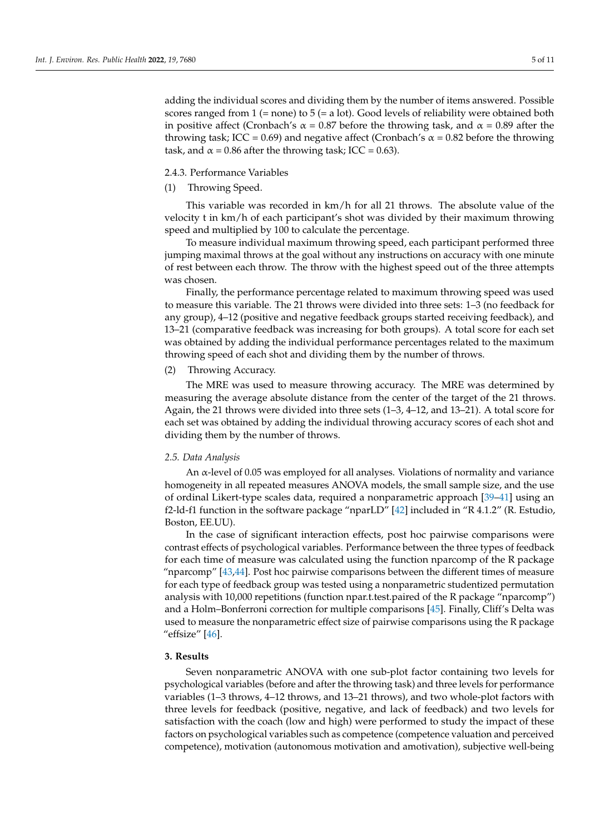adding the individual scores and dividing them by the number of items answered. Possible scores ranged from 1 (= none) to 5 (= a lot). Good levels of reliability were obtained both in positive affect (Cronbach's  $\alpha$  = 0.87 before the throwing task, and  $\alpha$  = 0.89 after the throwing task; ICC = 0.69) and negative affect (Cronbach's  $\alpha$  = 0.82 before the throwing task, and  $\alpha$  = 0.86 after the throwing task; ICC = 0.63).

### 2.4.3. Performance Variables

(1) Throwing Speed.

This variable was recorded in km/h for all 21 throws. The absolute value of the velocity t in km/h of each participant's shot was divided by their maximum throwing speed and multiplied by 100 to calculate the percentage.

To measure individual maximum throwing speed, each participant performed three jumping maximal throws at the goal without any instructions on accuracy with one minute of rest between each throw. The throw with the highest speed out of the three attempts was chosen.

Finally, the performance percentage related to maximum throwing speed was used to measure this variable. The 21 throws were divided into three sets: 1–3 (no feedback for any group), 4–12 (positive and negative feedback groups started receiving feedback), and 13–21 (comparative feedback was increasing for both groups). A total score for each set was obtained by adding the individual performance percentages related to the maximum throwing speed of each shot and dividing them by the number of throws.

### (2) Throwing Accuracy.

The MRE was used to measure throwing accuracy. The MRE was determined by measuring the average absolute distance from the center of the target of the 21 throws. Again, the 21 throws were divided into three sets (1–3, 4–12, and 13–21). A total score for each set was obtained by adding the individual throwing accuracy scores of each shot and dividing them by the number of throws.

#### *2.5. Data Analysis*

An α-level of 0.05 was employed for all analyses. Violations of normality and variance homogeneity in all repeated measures ANOVA models, the small sample size, and the use of ordinal Likert-type scales data, required a nonparametric approach [\[39–](#page-10-9)[41\]](#page-10-10) using an f2-ld-f1 function in the software package "nparLD" [\[42\]](#page-10-11) included in "R 4.1.2" (R. Estudio, Boston, EE.UU).

In the case of significant interaction effects, post hoc pairwise comparisons were contrast effects of psychological variables. Performance between the three types of feedback for each time of measure was calculated using the function nparcomp of the R package "nparcomp" [\[43,](#page-10-12)[44\]](#page-10-13). Post hoc pairwise comparisons between the different times of measure for each type of feedback group was tested using a nonparametric studentized permutation analysis with 10,000 repetitions (function npar.t.test.paired of the R package "nparcomp") and a Holm–Bonferroni correction for multiple comparisons [\[45\]](#page-10-14). Finally, Cliff's Delta was used to measure the nonparametric effect size of pairwise comparisons using the R package "effsize" [\[46\]](#page-10-15).

## **3. Results**

Seven nonparametric ANOVA with one sub-plot factor containing two levels for psychological variables (before and after the throwing task) and three levels for performance variables (1–3 throws, 4–12 throws, and 13–21 throws), and two whole-plot factors with three levels for feedback (positive, negative, and lack of feedback) and two levels for satisfaction with the coach (low and high) were performed to study the impact of these factors on psychological variables such as competence (competence valuation and perceived competence), motivation (autonomous motivation and amotivation), subjective well-being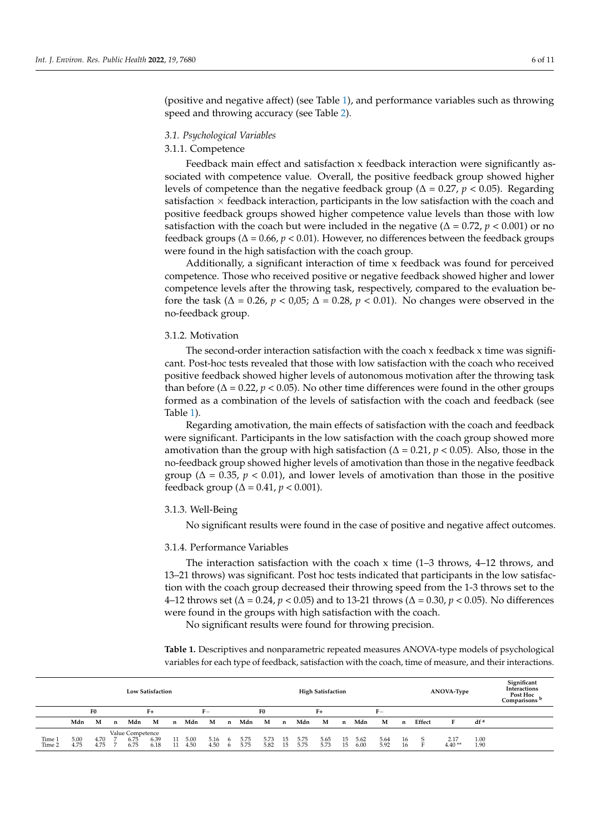(positive and negative affect) (see Table [1\)](#page-5-0), and performance variables such as throwing speed and throwing accuracy (see Table [2\)](#page-6-0).

## *3.1. Psychological Variables*

### 3.1.1. Competence

Feedback main effect and satisfaction x feedback interaction were significantly associated with competence value. Overall, the positive feedback group showed higher levels of competence than the negative feedback group (∆ = 0.27, *p* < 0.05). Regarding satisfaction  $\times$  feedback interaction, participants in the low satisfaction with the coach and positive feedback groups showed higher competence value levels than those with low satisfaction with the coach but were included in the negative ( $\Delta = 0.72$ ,  $p < 0.001$ ) or no feedback groups ( $\Delta$  = 0.66,  $p$  < 0.01). However, no differences between the feedback groups were found in the high satisfaction with the coach group.

Additionally, a significant interaction of time x feedback was found for perceived competence. Those who received positive or negative feedback showed higher and lower competence levels after the throwing task, respectively, compared to the evaluation before the task ( $\Delta = 0.26$ ,  $p < 0.05$ ;  $\Delta = 0.28$ ,  $p < 0.01$ ). No changes were observed in the no-feedback group.

#### 3.1.2. Motivation

The second-order interaction satisfaction with the coach x feedback x time was significant. Post-hoc tests revealed that those with low satisfaction with the coach who received positive feedback showed higher levels of autonomous motivation after the throwing task than before ( $\Delta$  = 0.22,  $p$  < 0.05). No other time differences were found in the other groups formed as a combination of the levels of satisfaction with the coach and feedback (see Table [1\)](#page-5-0).

Regarding amotivation, the main effects of satisfaction with the coach and feedback were significant. Participants in the low satisfaction with the coach group showed more amotivation than the group with high satisfaction ( $\Delta$  = 0.21,  $p$  < 0.05). Also, those in the no-feedback group showed higher levels of amotivation than those in the negative feedback group ( $\Delta = 0.35$ ,  $p < 0.01$ ), and lower levels of amotivation than those in the positive feedback group (∆ = 0.41, *p* < 0.001).

#### 3.1.3. Well-Being

No significant results were found in the case of positive and negative affect outcomes.

#### 3.1.4. Performance Variables

The interaction satisfaction with the coach x time  $(1-3)$  throws,  $4-12$  throws, and 13–21 throws) was significant. Post hoc tests indicated that participants in the low satisfaction with the coach group decreased their throwing speed from the 1-3 throws set to the 4–12 throws set (∆ = 0.24, *p* < 0.05) and to 13-21 throws (∆ = 0.30, *p* < 0.05). No differences were found in the groups with high satisfaction with the coach.

No significant results were found for throwing precision.

<span id="page-5-0"></span>**Table 1.** Descriptives and nonparametric repeated measures ANOVA-type models of psychological variables for each type of feedback, satisfaction with the coach, time of measure, and their interactions.

|                  | <b>Low Satisfaction</b> |              |   |                                  |              |          |              |              |          |                |              |             |              | <b>High Satisfaction</b> |          |              |              |          |        | ANOVA-Type       | Significant<br><b>Interactions</b><br>Post Hoc<br>Comparisons <sup>b</sup> |  |
|------------------|-------------------------|--------------|---|----------------------------------|--------------|----------|--------------|--------------|----------|----------------|--------------|-------------|--------------|--------------------------|----------|--------------|--------------|----------|--------|------------------|----------------------------------------------------------------------------|--|
|                  | F <sub>0</sub>          |              |   | $F+$                             |              |          | F–           |              |          | F <sub>0</sub> |              |             | $F+$         |                          |          |              | $F-$         |          |        |                  |                                                                            |  |
|                  | Mdn                     | M            | n | Mdn                              | М            | n        | Mdn          | M            | n        | Mdn            | М            | $\mathbf n$ | Mdn          | М                        | n        | Mdn          | M            | n        | Effect | F                | df <sup>a</sup>                                                            |  |
| Time 1<br>Time 2 | 5.00<br>4.75            | 4.70<br>4.75 |   | Value Competence<br>6.75<br>6.75 | 6.39<br>6.18 | 11<br>11 | 5.00<br>4.50 | 5.16<br>4.50 | - 6<br>6 | 5.75<br>5.75   | 5.73<br>5.82 | 15.<br>15   | 5.75<br>5.75 | 5.65<br>5.73             | 15<br>15 | 5.62<br>6.00 | 5.64<br>5.92 | 16<br>16 | S      | 2.17<br>$4.40**$ | 1.00<br>1.90                                                               |  |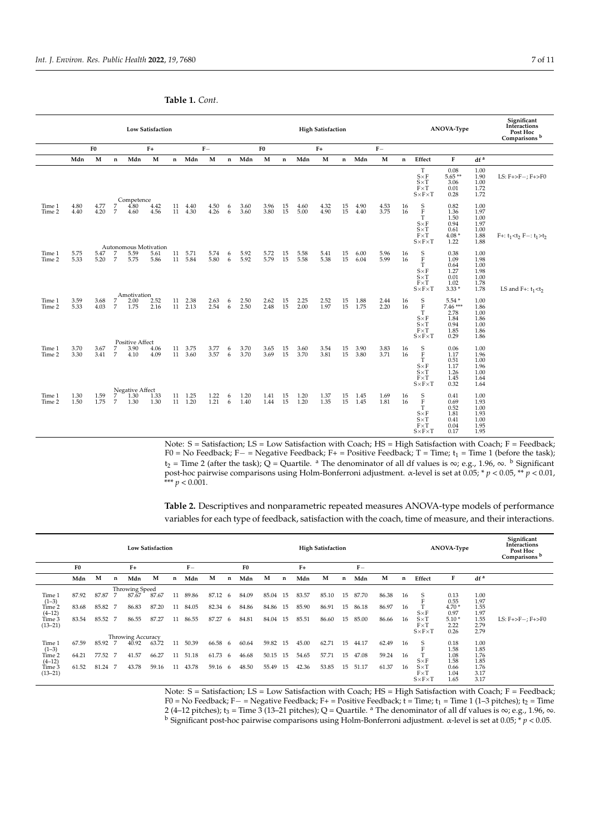|                  | <b>Low Satisfaction</b> |                |             |                                        |              |             |                    |               |             |              |                |             |              | <b>High Satisfaction</b> |                 |              |               |             |                                                                                                              | ANOVA-Type                                                 | Significant<br>Interactions<br>Post Hoc<br>Comparisons b |                                |
|------------------|-------------------------|----------------|-------------|----------------------------------------|--------------|-------------|--------------------|---------------|-------------|--------------|----------------|-------------|--------------|--------------------------|-----------------|--------------|---------------|-------------|--------------------------------------------------------------------------------------------------------------|------------------------------------------------------------|----------------------------------------------------------|--------------------------------|
|                  |                         | F <sub>0</sub> |             |                                        | $F+$         |             |                    | $\mathbf{F}-$ |             |              | F <sub>0</sub> |             |              | $F+$                     |                 |              | $\mathbf{F}-$ |             |                                                                                                              |                                                            |                                                          |                                |
|                  | Mdn                     | M              | $\mathbf n$ | Mdn                                    | M            | $\mathbf n$ | Mdn                | M             | $\mathbf n$ | Mdn          | M              | $\mathbf n$ | Mdn          | M                        | $\mathbf{n}$    | Mdn          | M             | $\mathbf n$ | Effect                                                                                                       | F                                                          | df <sup>a</sup>                                          |                                |
|                  |                         |                |             | Competence                             |              |             |                    |               |             |              |                |             |              |                          |                 |              |               |             | T<br>$S \times F$<br>$S \times T$<br>$F \times T$<br>$S \times F \times T$                                   | 0.08<br>$5.65**$<br>3.06<br>0.01<br>0.28                   | 1.00<br>1.90<br>1.00<br>1.72<br>1.72                     | LS: $F + > F -$ ; $F + > F0$   |
| Time 1<br>Time 2 | 4.80<br>4.40            | 4.77<br>4.20   | 7<br>7      | 4.80<br>4.60                           | 4.42<br>4.56 | 11<br>11    | 4.40<br>4.30       | 4.50<br>4.26  | 6<br>6      | 3.60<br>3.60 | 3.96<br>3.80   | 15<br>15    | 4.60<br>5.00 | 4.32<br>4.90             | 15<br>15        | 4.90<br>4.40 | 4.53<br>3.75  | 16<br>16    | $_{\rm F}^{\rm S}$<br>$\mathbf T$<br>$S \times F$<br>$S \times T$<br>$F \times T$<br>$S \times F \times T$   | 0.82<br>1.36<br>1.50<br>0.94<br>0.61<br>$4.08*$<br>1.22    | 1.00<br>1.97<br>1.00<br>1.97<br>1.00<br>1.88<br>1.88     | $F+: t_1 < t_2 F -: t_1 > t_2$ |
| Time 1<br>Time 2 | 5.75<br>5.33            | 5.47<br>5.20   | 7<br>7      | Autonomous Motivation<br>5.59<br>5.75  | 5.61<br>5.86 | 11<br>11    | 5.71<br>5.84       | 5.74<br>5.80  | 6<br>6      | 5.92<br>5.92 | 5.72<br>5.79   | 15<br>15    | 5.58<br>5.58 | 5.41<br>5.38             | 15<br>15        | 6.00<br>6.04 | 5.96<br>5.99  | 16<br>16    | $_{\rm F}^{\rm S}$<br>$\mathbf T$<br>$S \times F$<br>$S \times T$<br>$F \times T$<br>$S \times F \times T$   | 0.38<br>1.09<br>0.64<br>1.27<br>0.01<br>1.02<br>$3.33*$    | 1.00<br>1.98<br>1.00<br>1.98<br>1.00<br>1.78<br>1.78     | LS and F+: $t_1 < t_2$         |
| Time 1<br>Time 2 | 3.59<br>5.33            | 3.68<br>4.03   | 7<br>7      | Amotivation<br>2.00<br>1.75            | 2.52<br>2.16 | 11<br>11    | 2.38<br>2.13       | 2.63<br>2.54  | 6<br>6      | 2.50<br>2.50 | 2.62<br>2.48   | 15<br>15    | 2.25<br>2.00 | 2.52<br>1.97             | 15<br>15        | 1.88<br>1.75 | 2.44<br>2.20  | 16<br>16    | $_{\rm F}^{\rm S}$<br>$\mathbf T$<br>$S \times F$<br>$S \times T$<br>$F\!\times\!T$<br>$S \times F \times T$ | $5.54*$<br>7.46***<br>2.78<br>1.84<br>0.94<br>1.85<br>0.29 | 1.00<br>1.86<br>1.00<br>1.86<br>1.00<br>1.86<br>1.86     |                                |
| Time 1<br>Time 2 | 3.70<br>3.30            | 3.67<br>3.41   | 7<br>7      | <b>Positive Affect</b><br>3.90<br>4.10 | 4.06<br>4.09 | 11          | 3.75<br>11 3.60    | 3.77<br>3.57  | 6<br>6      | 3.70<br>3.70 | 3.65<br>3.69   | 15<br>15    | 3.60<br>3.70 | 3.54<br>3.81             | $15\,$<br>15    | 3.90<br>3.80 | 3.83<br>3.71  | 16<br>16    | $_{\rm F}^{\rm S}$<br>T<br>$S \times F$<br>$S \times T$<br>$F \times T$<br>$S \times F \times T$             | 0.06<br>1.17<br>0.51<br>1.17<br>1.26<br>1.45<br>0.32       | 1.00<br>1.96<br>1.00<br>1.96<br>1.00<br>1.64<br>1.64     |                                |
| Time 1<br>Time 2 | 1.30<br>1.50            | 1.59<br>1.75   | 7<br>7      | Negative Affect<br>1.30<br>1.30        | 1.33<br>1.30 |             | 11 1.25<br>11 1.20 | 1.22<br>1.21  | 6<br>6      | 1.20<br>1.40 | 1.41<br>1.44   | 15<br>15    | 1.20<br>1.20 | 1.37<br>1.35             | $\frac{15}{15}$ | 1.45<br>1.45 | 1.69<br>1.81  | 16<br>16    | $_{\rm F}^{\rm S}$<br>$\mathbf T$<br>$S \times F$<br>$S \times T$<br>$F \times T$<br>$S \times F \times T$   | 0.41<br>0.69<br>0.52<br>1.81<br>0.41<br>0.04<br>0.17       | 1.00<br>1.93<br>1.00<br>1.93<br>1.00<br>1.95<br>1.95     |                                |

**Table 1.** *Cont.*

Note: S = Satisfaction; LS = Low Satisfaction with Coach; HS = High Satisfaction with Coach; F = Feedback; F0 = No Feedback; F− = Negative Feedback; F+ = Positive Feedback; T = Time; t<sub>1</sub> = Time 1 (before the task); t<sub>2</sub> = Time 2 (after the task); Q = Quartile. <sup>a</sup> The denominator of all df values is ∞; e.g., 1.96, ∞. <sup>b</sup> Significant post-hoc pairwise comparisons using Holm-Bonferroni adjustment. α-level is set at 0.05; \* *p* < 0.05, \*\* *p* < 0.01, \*\*\* *p* < 0.001.

<span id="page-6-0"></span>**Table 2.** Descriptives and nonparametric repeated measures ANOVA-type models of performance variables for each type of feedback, satisfaction with the coach, time of measure, and their interactions.

|                       | <b>Low Satisfaction</b> |                       |     |                   |       |    |       |         |     |                |       |    |       | <b>High Satisfaction</b> |    |       |       |             | <b>ANOVA-Type</b>                                     | Significant<br>Interactions<br>Post Hoc<br>Comparisons <sup>b</sup> |                      |                                        |
|-----------------------|-------------------------|-----------------------|-----|-------------------|-------|----|-------|---------|-----|----------------|-------|----|-------|--------------------------|----|-------|-------|-------------|-------------------------------------------------------|---------------------------------------------------------------------|----------------------|----------------------------------------|
|                       | F <sub>0</sub>          |                       |     | $F+$              |       |    | $F-$  |         |     | F <sub>0</sub> |       |    | $F+$  |                          |    | $F-$  |       |             |                                                       |                                                                     |                      |                                        |
|                       | Mdn                     | M                     | n   | Mdn               | M     | n  | Mdn   | M       | n   | Mdn            | M     | n  | Mdn   | M                        | n  | Mdn   | M     | $\mathbf n$ | Effect                                                | F                                                                   | df <sup>a</sup>      |                                        |
|                       |                         | <b>Throwing Speed</b> |     |                   |       |    |       |         |     |                |       |    |       |                          |    |       |       |             |                                                       |                                                                     |                      |                                        |
| Time 1<br>$(1-3)$     | 87.92                   | 87.87                 |     | 87.67             | 87.67 | 11 | 89.86 | 87.12   | 6   | 84.09          | 85.04 | 15 | 83.57 | 85.10                    | 15 | 87.70 | 86.38 | 16          |                                                       | 0.13<br>0.55                                                        | 1.00<br>1.97         |                                        |
| Time 2<br>$(4-12)$    | 83.68                   | 85.82                 | - 7 | 86.83             | 87.20 | 11 | 84.05 | 82.34   | -6  | 84.86          | 84.86 | 15 | 85.90 | 86.91                    | 15 | 86.18 | 86.97 | 16          | $S \times F$                                          | 4.70 *<br>0.97                                                      | 1.55<br>1.97         |                                        |
| Time 3<br>$(13 - 21)$ | 83.54                   | 85.52                 | - 7 | 86.55             | 87.27 | 11 | 86.55 | 87.27   | 6   | 84.81          | 84.04 | 15 | 85.51 | 86.60                    | 15 | 85.00 | 86.66 | 16          | $S \times T$<br>$F \times T$<br>$S \times F \times T$ | $5.10*$<br>2.22<br>0.26                                             | 1.55<br>2.79<br>2.79 | $LS: F\rightarrow F-; F\rightarrow F0$ |
|                       |                         |                       |     | Throwing Accuracy |       |    |       |         |     |                |       |    |       |                          |    |       |       |             |                                                       |                                                                     |                      |                                        |
| Time 1<br>$(1-3)$     | 67.59                   | 85.92 7               |     | 40.92             | 63.72 | 11 | 50.39 | 66.58   | - 6 | 60.64          | 59.82 | 15 | 45.00 | 62.71                    | 15 | 44.17 | 62.49 | 16          | S                                                     | 0.18<br>1.58                                                        | 1.00<br>1.85         |                                        |
| Time 2<br>$(4-12)$    | 64.21                   | 77.52 7               |     | 41.57             | 66.27 | 11 | 51.18 | 61.73   | -6  | 46.68          | 50.15 | 15 | 54.65 | 57.71                    | 15 | 47.08 | 59.24 | 16          | $S \times F$                                          | 1.08<br>1.58                                                        | 1.76<br>1.85         |                                        |
| Time 3<br>$(13 - 21)$ | 61.52                   | 81.24                 |     | 43.78             | 59.16 | 11 | 43.78 | 59.16 6 |     | 48.50          | 55.49 | 15 | 42.36 | 53.85                    | 15 | 51.17 | 61.37 | 16          | $S \times T$<br>$F \times T$<br>$S \times F \times T$ | 0.66<br>1.04<br>1.65                                                | 1.76<br>3.17<br>3.17 |                                        |

Note: S = Satisfaction; LS = Low Satisfaction with Coach; HS = High Satisfaction with Coach; F = Feedback; F0 = No Feedback; F- = Negative Feedback; F+ = Positive Feedback; t = Time; t<sub>1</sub> = Time 1 (1–3 pitches); t<sub>2</sub> = Time 2 (4–12 pitches);  $t_3$  = Time 3 (13–21 pitches); Q = Quartile. <sup>a</sup> The denominator of all df values is ∞; e.g., 1.96, ∞. <sup>b</sup> Significant post-hoc pairwise comparisons using Holm-Bonferroni adjustment. α-level is set at 0.05; \* *p* < 0.05.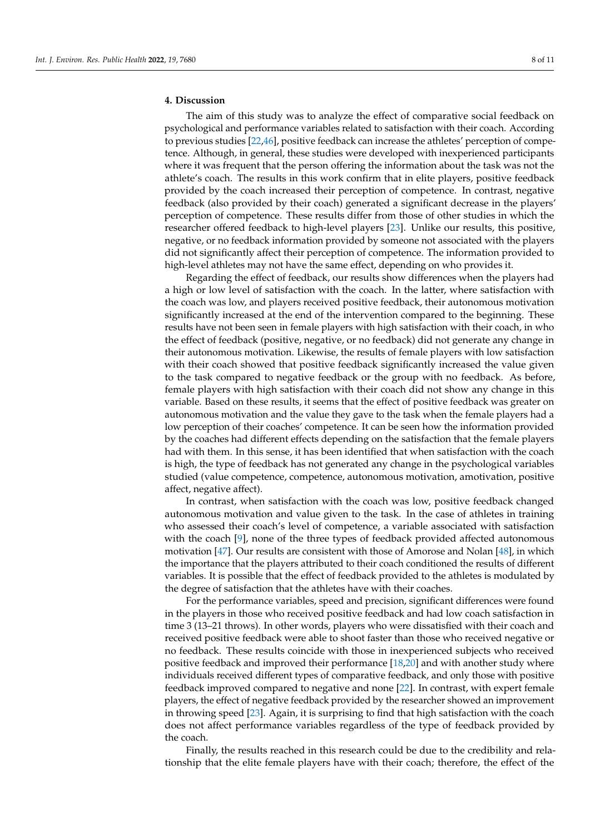## **4. Discussion**

The aim of this study was to analyze the effect of comparative social feedback on psychological and performance variables related to satisfaction with their coach. According to previous studies [\[22,](#page-9-18)[46\]](#page-10-15), positive feedback can increase the athletes' perception of competence. Although, in general, these studies were developed with inexperienced participants where it was frequent that the person offering the information about the task was not the athlete's coach. The results in this work confirm that in elite players, positive feedback provided by the coach increased their perception of competence. In contrast, negative feedback (also provided by their coach) generated a significant decrease in the players' perception of competence. These results differ from those of other studies in which the researcher offered feedback to high-level players [\[23\]](#page-9-19). Unlike our results, this positive, negative, or no feedback information provided by someone not associated with the players did not significantly affect their perception of competence. The information provided to high-level athletes may not have the same effect, depending on who provides it.

Regarding the effect of feedback, our results show differences when the players had a high or low level of satisfaction with the coach. In the latter, where satisfaction with the coach was low, and players received positive feedback, their autonomous motivation significantly increased at the end of the intervention compared to the beginning. These results have not been seen in female players with high satisfaction with their coach, in who the effect of feedback (positive, negative, or no feedback) did not generate any change in their autonomous motivation. Likewise, the results of female players with low satisfaction with their coach showed that positive feedback significantly increased the value given to the task compared to negative feedback or the group with no feedback. As before, female players with high satisfaction with their coach did not show any change in this variable. Based on these results, it seems that the effect of positive feedback was greater on autonomous motivation and the value they gave to the task when the female players had a low perception of their coaches' competence. It can be seen how the information provided by the coaches had different effects depending on the satisfaction that the female players had with them. In this sense, it has been identified that when satisfaction with the coach is high, the type of feedback has not generated any change in the psychological variables studied (value competence, competence, autonomous motivation, amotivation, positive affect, negative affect).

In contrast, when satisfaction with the coach was low, positive feedback changed autonomous motivation and value given to the task. In the case of athletes in training who assessed their coach's level of competence, a variable associated with satisfaction with the coach [\[9\]](#page-9-7), none of the three types of feedback provided affected autonomous motivation [\[47\]](#page-10-16). Our results are consistent with those of Amorose and Nolan [\[48\]](#page-10-17), in which the importance that the players attributed to their coach conditioned the results of different variables. It is possible that the effect of feedback provided to the athletes is modulated by the degree of satisfaction that the athletes have with their coaches.

For the performance variables, speed and precision, significant differences were found in the players in those who received positive feedback and had low coach satisfaction in time 3 (13–21 throws). In other words, players who were dissatisfied with their coach and received positive feedback were able to shoot faster than those who received negative or no feedback. These results coincide with those in inexperienced subjects who received positive feedback and improved their performance [\[18](#page-9-15)[,20\]](#page-9-16) and with another study where individuals received different types of comparative feedback, and only those with positive feedback improved compared to negative and none [\[22\]](#page-9-18). In contrast, with expert female players, the effect of negative feedback provided by the researcher showed an improvement in throwing speed [\[23\]](#page-9-19). Again, it is surprising to find that high satisfaction with the coach does not affect performance variables regardless of the type of feedback provided by the coach.

Finally, the results reached in this research could be due to the credibility and relationship that the elite female players have with their coach; therefore, the effect of the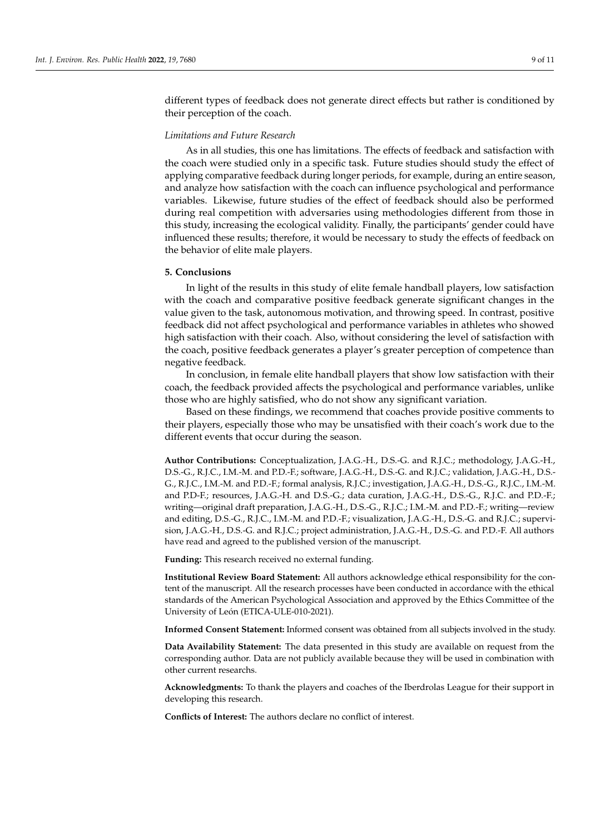different types of feedback does not generate direct effects but rather is conditioned by their perception of the coach.

#### *Limitations and Future Research*

As in all studies, this one has limitations. The effects of feedback and satisfaction with the coach were studied only in a specific task. Future studies should study the effect of applying comparative feedback during longer periods, for example, during an entire season, and analyze how satisfaction with the coach can influence psychological and performance variables. Likewise, future studies of the effect of feedback should also be performed during real competition with adversaries using methodologies different from those in this study, increasing the ecological validity. Finally, the participants' gender could have influenced these results; therefore, it would be necessary to study the effects of feedback on the behavior of elite male players.

#### **5. Conclusions**

In light of the results in this study of elite female handball players, low satisfaction with the coach and comparative positive feedback generate significant changes in the value given to the task, autonomous motivation, and throwing speed. In contrast, positive feedback did not affect psychological and performance variables in athletes who showed high satisfaction with their coach. Also, without considering the level of satisfaction with the coach, positive feedback generates a player's greater perception of competence than negative feedback.

In conclusion, in female elite handball players that show low satisfaction with their coach, the feedback provided affects the psychological and performance variables, unlike those who are highly satisfied, who do not show any significant variation.

Based on these findings, we recommend that coaches provide positive comments to their players, especially those who may be unsatisfied with their coach's work due to the different events that occur during the season.

**Author Contributions:** Conceptualization, J.A.G.-H., D.S.-G. and R.J.C.; methodology, J.A.G.-H., D.S.-G., R.J.C., I.M.-M. and P.D.-F.; software, J.A.G.-H., D.S.-G. and R.J.C.; validation, J.A.G.-H., D.S.- G., R.J.C., I.M.-M. and P.D.-F.; formal analysis, R.J.C.; investigation, J.A.G.-H., D.S.-G., R.J.C., I.M.-M. and P.D-F.; resources, J.A.G.-H. and D.S.-G.; data curation, J.A.G.-H., D.S.-G., R.J.C. and P.D.-F.; writing—original draft preparation, J.A.G.-H., D.S.-G., R.J.C.; I.M.-M. and P.D.-F.; writing—review and editing, D.S.-G., R.J.C., I.M.-M. and P.D.-F.; visualization, J.A.G.-H., D.S.-G. and R.J.C.; supervision, J.A.G.-H., D.S.-G. and R.J.C.; project administration, J.A.G.-H., D.S.-G. and P.D.-F. All authors have read and agreed to the published version of the manuscript.

**Funding:** This research received no external funding.

**Institutional Review Board Statement:** All authors acknowledge ethical responsibility for the content of the manuscript. All the research processes have been conducted in accordance with the ethical standards of the American Psychological Association and approved by the Ethics Committee of the University of León (ETICA-ULE-010-2021).

**Informed Consent Statement:** Informed consent was obtained from all subjects involved in the study.

**Data Availability Statement:** The data presented in this study are available on request from the corresponding author. Data are not publicly available because they will be used in combination with other current researchs.

**Acknowledgments:** To thank the players and coaches of the Iberdrolas League for their support in developing this research.

**Conflicts of Interest:** The authors declare no conflict of interest.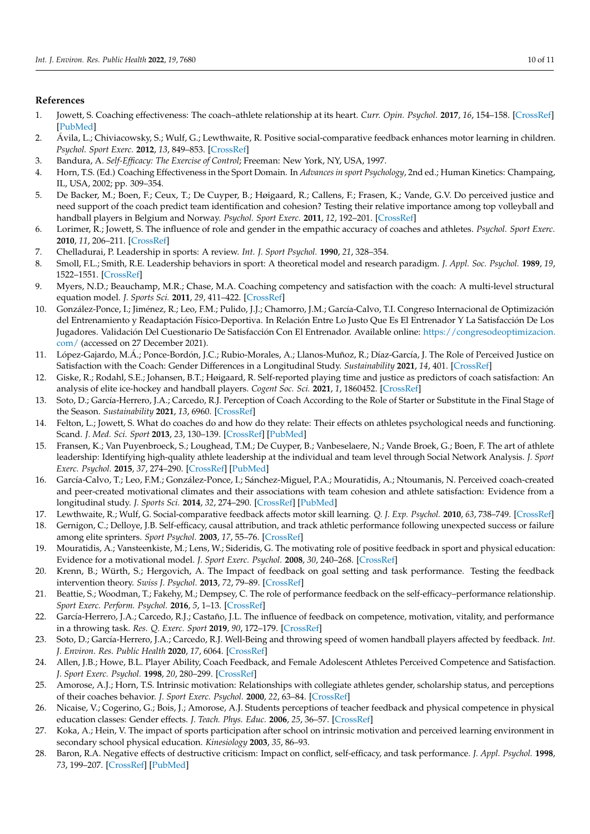## **References**

- <span id="page-9-0"></span>1. Jowett, S. Coaching effectiveness: The coach–athlete relationship at its heart. *Curr. Opin. Psychol.* **2017**, *16*, 154–158. [\[CrossRef\]](http://doi.org/10.1016/j.copsyc.2017.05.006) [\[PubMed\]](http://www.ncbi.nlm.nih.gov/pubmed/28813341)
- <span id="page-9-1"></span>2. Ávila, L.; Chiviacowsky, S.; Wulf, G.; Lewthwaite, R. Positive social-comparative feedback enhances motor learning in children. *Psychol. Sport Exerc.* **2012**, *13*, 849–853. [\[CrossRef\]](http://doi.org/10.1016/j.psychsport.2012.07.001)
- <span id="page-9-2"></span>3. Bandura, A. *Self-Efficacy: The Exercise of Control*; Freeman: New York, NY, USA, 1997.
- 4. Horn, T.S. (Ed.) Coaching Effectiveness in the Sport Domain. In *Advances in sport Psychology*, 2nd ed.; Human Kinetics: Champaing, IL, USA, 2002; pp. 309–354.
- <span id="page-9-3"></span>5. De Backer, M.; Boen, F.; Ceux, T.; De Cuyper, B.; Høigaard, R.; Callens, F.; Frasen, K.; Vande, G.V. Do perceived justice and need support of the coach predict team identification and cohesion? Testing their relative importance among top volleyball and handball players in Belgium and Norway. *Psychol. Sport Exerc.* **2011**, *12*, 192–201. [\[CrossRef\]](http://doi.org/10.1016/j.psychsport.2010.09.009)
- <span id="page-9-4"></span>6. Lorimer, R.; Jowett, S. The influence of role and gender in the empathic accuracy of coaches and athletes. *Psychol. Sport Exerc.* **2010**, *11*, 206–211. [\[CrossRef\]](http://doi.org/10.1016/j.psychsport.2009.12.001)
- <span id="page-9-5"></span>7. Chelladurai, P. Leadership in sports: A review. *Int. J. Sport Psychol.* **1990**, *21*, 328–354.
- <span id="page-9-6"></span>8. Smoll, F.L.; Smith, R.E. Leadership behaviors in sport: A theoretical model and research paradigm. *J. Appl. Soc. Psychol.* **1989**, *19*, 1522–1551. [\[CrossRef\]](http://doi.org/10.1111/j.1559-1816.1989.tb01462.x)
- <span id="page-9-7"></span>9. Myers, N.D.; Beauchamp, M.R.; Chase, M.A. Coaching competency and satisfaction with the coach: A multi-level structural equation model. *J. Sports Sci.* **2011**, *29*, 411–422. [\[CrossRef\]](http://doi.org/10.1080/02640414.2010.538710)
- <span id="page-9-8"></span>10. González-Ponce, I.; Jiménez, R.; Leo, F.M.; Pulido, J.J.; Chamorro, J.M.; García-Calvo, T.I. Congreso Internacional de Optimización del Entrenamiento y Readaptación Físico-Deportiva. In Relación Entre Lo Justo Que Es El Entrenador Y La Satisfacción De Los Jugadores. Validación Del Cuestionario De Satisfacción Con El Entrenador. Available online: [https://congresodeoptimizacion.](https://congresodeoptimizacion.com/) [com/](https://congresodeoptimizacion.com/) (accessed on 27 December 2021).
- <span id="page-9-9"></span>11. López-Gajardo, M.Á.; Ponce-Bordón, J.C.; Rubio-Morales, A.; Llanos-Muñoz, R.; Díaz-García, J. The Role of Perceived Justice on Satisfaction with the Coach: Gender Differences in a Longitudinal Study. *Sustainability* **2021**, *14*, 401. [\[CrossRef\]](http://doi.org/10.3390/su14010401)
- <span id="page-9-10"></span>12. Giske, R.; Rodahl, S.E.; Johansen, B.T.; Høigaard, R. Self-reported playing time and justice as predictors of coach satisfaction: An analysis of elite ice-hockey and handball players. *Cogent Soc. Sci.* **2021**, *1*, 1860452. [\[CrossRef\]](http://doi.org/10.1080/23311886.2020.1860452)
- <span id="page-9-11"></span>13. Soto, D.; García-Herrero, J.A.; Carcedo, R.J. Perception of Coach According to the Role of Starter or Substitute in the Final Stage of the Season. *Sustainability* **2021**, *13*, 6960. [\[CrossRef\]](http://doi.org/10.3390/su13126960)
- <span id="page-9-12"></span>14. Felton, L.; Jowett, S. What do coaches do and how do they relate: Their effects on athletes psychological needs and functioning. Scand. *J. Med. Sci. Sport* **2013**, *23*, 130–139. [\[CrossRef\]](http://doi.org/10.1111/sms.12029) [\[PubMed\]](http://www.ncbi.nlm.nih.gov/pubmed/23253210)
- 15. Fransen, K.; Van Puyenbroeck, S.; Loughead, T.M.; De Cuyper, B.; Vanbeselaere, N.; Vande Broek, G.; Boen, F. The art of athlete leadership: Identifying high-quality athlete leadership at the individual and team level through Social Network Analysis. *J. Sport Exerc. Psychol.* **2015**, *37*, 274–290. [\[CrossRef\]](http://doi.org/10.1123/jsep.2014-0259) [\[PubMed\]](http://www.ncbi.nlm.nih.gov/pubmed/26265340)
- <span id="page-9-13"></span>16. García-Calvo, T.; Leo, F.M.; González-Ponce, I.; Sánchez-Miguel, P.A.; Mouratidis, A.; Ntoumanis, N. Perceived coach-created and peer-created motivational climates and their associations with team cohesion and athlete satisfaction: Evidence from a longitudinal study. *J. Sports Sci.* **2014**, *32*, 274–290. [\[CrossRef\]](http://doi.org/10.1080/02640414.2014.918641) [\[PubMed\]](http://www.ncbi.nlm.nih.gov/pubmed/24911047)
- <span id="page-9-14"></span>17. Lewthwaite, R.; Wulf, G. Social-comparative feedback affects motor skill learning. *Q. J. Exp. Psychol.* **2010**, *63*, 738–749. [\[CrossRef\]](http://doi.org/10.1080/17470210903111839)
- <span id="page-9-15"></span>18. Gernigon, C.; Delloye, J.B. Self-efficacy, causal attribution, and track athletic performance following unexpected success or failure among elite sprinters. *Sport Psychol.* **2003**, *17*, 55–76. [\[CrossRef\]](http://doi.org/10.1123/tsp.17.1.55)
- <span id="page-9-20"></span>19. Mouratidis, A.; Vansteenkiste, M.; Lens, W.; Sideridis, G. The motivating role of positive feedback in sport and physical education: Evidence for a motivational model. *J. Sport Exerc. Psychol.* **2008**, *30*, 240–268. [\[CrossRef\]](http://doi.org/10.1123/jsep.30.2.240)
- <span id="page-9-16"></span>20. Krenn, B.; Würth, S.; Hergovich, A. The Impact of feedback on goal setting and task performance. Testing the feedback intervention theory. *Swiss J. Psychol.* **2013**, *72*, 79–89. [\[CrossRef\]](http://doi.org/10.1024/1421-0185/a000101)
- <span id="page-9-17"></span>21. Beattie, S.; Woodman, T.; Fakehy, M.; Dempsey, C. The role of performance feedback on the self-efficacy–performance relationship. *Sport Exerc. Perform. Psychol.* **2016**, *5*, 1–13. [\[CrossRef\]](http://doi.org/10.1037/spy0000051)
- <span id="page-9-18"></span>22. García-Herrero, J.A.; Carcedo, R.J.; Castaño, J.L. The influence of feedback on competence, motivation, vitality, and performance in a throwing task. *Res. Q. Exerc. Sport* **2019**, *90*, 172–179. [\[CrossRef\]](http://doi.org/10.1080/02701367.2019.1571677)
- <span id="page-9-19"></span>23. Soto, D.; García-Herrero, J.A.; Carcedo, R.J. Well-Being and throwing speed of women handball players affected by feedback. *Int. J. Environ. Res. Public Health* **2020**, *17*, 6064. [\[CrossRef\]](http://doi.org/10.3390/ijerph17176064)
- <span id="page-9-21"></span>24. Allen, J.B.; Howe, B.L. Player Ability, Coach Feedback, and Female Adolescent Athletes Perceived Competence and Satisfaction. *J. Sport Exerc. Psychol.* **1998**, *20*, 280–299. [\[CrossRef\]](http://doi.org/10.1123/jsep.20.3.280)
- <span id="page-9-22"></span>25. Amorose, A.J.; Horn, T.S. Intrinsic motivation: Relationships with collegiate athletes gender, scholarship status, and perceptions of their coaches behavior. *J. Sport Exerc. Psychol.* **2000**, *22*, 63–84. [\[CrossRef\]](http://doi.org/10.1123/jsep.22.1.63)
- <span id="page-9-23"></span>26. Nicaise, V.; Cogerino, G.; Bois, J.; Amorose, A.J. Students perceptions of teacher feedback and physical competence in physical education classes: Gender effects. *J. Teach. Phys. Educ.* **2006**, *25*, 36–57. [\[CrossRef\]](http://doi.org/10.1123/jtpe.25.1.36)
- <span id="page-9-24"></span>27. Koka, A.; Hein, V. The impact of sports participation after school on intrinsic motivation and perceived learning environment in secondary school physical education. *Kinesiology* **2003**, *35*, 86–93.
- <span id="page-9-25"></span>28. Baron, R.A. Negative effects of destructive criticism: Impact on conflict, self-efficacy, and task performance. *J. Appl. Psychol.* **1998**, *73*, 199–207. [\[CrossRef\]](http://doi.org/10.1037/0021-9010.73.2.199) [\[PubMed\]](http://www.ncbi.nlm.nih.gov/pubmed/3384772)